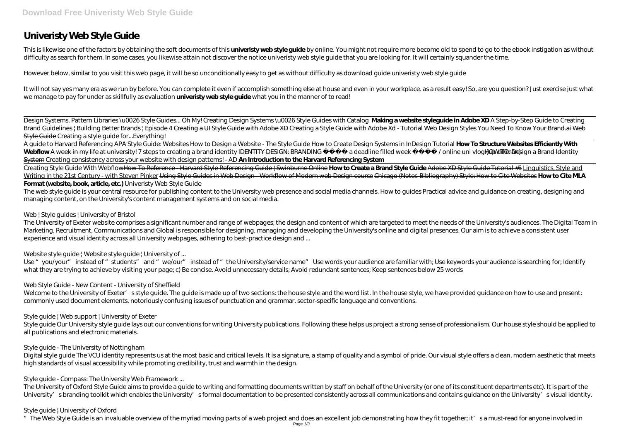This is likewise one of the factors by obtaining the soft documents of this **univeristy web style guide** by online. You might not require more become old to spend to go to the ebook instigation as without difficulty as search for them. In some cases, you likewise attain not discover the notice univeristy web style guide that you are looking for. It will certainly squander the time.

# **Univeristy Web Style Guide**

However below, similar to you visit this web page, it will be so unconditionally easy to get as without difficulty as download guide univeristy web style guide

It will not say yes many era as we run by before. You can complete it even if accomplish something else at house and even in your workplace. as a result easy! So, are you question? Just exercise just what we manage to pay for under as skillfully as evaluation **univeristy web style guide** what you in the manner of to read!

Design Systems, Pattern Libraries \u0026 Style Guides... Oh My! Creating Design Systems \u0026 Style Guides with Catalog **Making a website styleguide in Adobe XD** A Step-by-Step Guide to Creating Brand Guidelines | Building Better Brands | Episode 4 Creating a UI Style Guide with Adobe XD *Creating a Style Guide with Adobe Xd - Tutorial Web Design Styles You Need To Know* Your Brand.ai Web Style Guide *Creating a style guide for...Everything!*

The web style guide is your central resource for publishing content to the University web presence and social media channels. How to guides Practical advice and guidance on creating, designing and managing content, on the University's content management systems and on social media.

A guide to Harvard Referencing APA Style Guide: Websites How to Design a Website - The Style Guide How to Create Design Systems in InDesign Tutorial **How To Structure Websites Efficiently With** Webflow A week in my life at university! *7 steps to creating a brand identity* IDENTITY DESIGN: BRANDING adeadline filled week / online uni vlog (up dilimate) WTO: Design a Brand Identity System Creating consistency across your website with design patterns! - AD **An Introduction to the Harvard Referencing System**

Use "you/your" instead of "students" and "we/our" instead of "the University/service name" Use words your audience are familiar with; Use keywords your audience is searching for; Identify what they are trying to achieve by visiting your page; c) Be concise. Avoid unnecessary details; Avoid redundant sentences; Keep sentences below 25 words

Welcome to the University of Exeter' sstyle guide. The guide is made up of two sections: the house style and the word list. In the house style, we have provided guidance on how to use and present: commonly used document elements. notoriously confusing issues of punctuation and grammar. sector-specific language and conventions.

Creating Style Guide With WebflowHow To Reference - Harvard Style Referencing Guide | Swinburne Online **How to Create a Brand Style Guide** Adobe XD Style Guide Tutorial #6 Linguistics, Style and Writing in the 21st Century - with Steven Pinker Using Style Guides in Web Design - Workflow of Modern web Design course Chicago (Notes-Bibliography) Style: How to Cite Websites **How to Cite MLA Format (website, book, article, etc.)** *Univeristy Web Style Guide*

Style guide Our University style guide lays out our conventions for writing University publications. Following these helps us project a strong sense of professionalism. Our house style should be applied to all publications and electronic materials.

Digital style guide The VCU identity represents us at the most basic and critical levels. It is a signature, a stamp of quality and a symbol of pride. Our visual style offers a clean, modern aesthetic that meets high standards of visual accessibility while promoting credibility, trust and warmth in the design.

The University of Oxford Style Guide aims to provide a guide to writing and formatting documents written by staff on behalf of the University (or one of its constituent departments etc). It is part of the University' sbranding toolkit which enables the University' sformal documentation to be presented consistently across all communications and contains guidance on the University' svisual identity.

# *Web | Style guides | University of Bristol*

The University of Exeter website comprises a significant number and range of webpages; the design and content of which are targeted to meet the needs of the University's audiences. The Digital Team in Marketing, Recruitment, Communications and Global is responsible for designing, managing and developing the University's online and digital presences. Our aim is to achieve a consistent user experience and visual identity across all University webpages, adhering to best-practice design and ...

# *Website style guide | Website style guide | University of ...*

# *Web Style Guide - New Content - University of Sheffield*

# *Style guide | Web support | University of Exeter*

# *Style guide - The University of Nottingham*

# *Style guide - Compass: The University Web Framework ...*

# *Style guide | University of Oxford*

"The Web Style Guide is an invaluable overview of the myriad moving parts of a web project and does an excellent job demonstrating how they fit together; it's a must-read for anyone involved in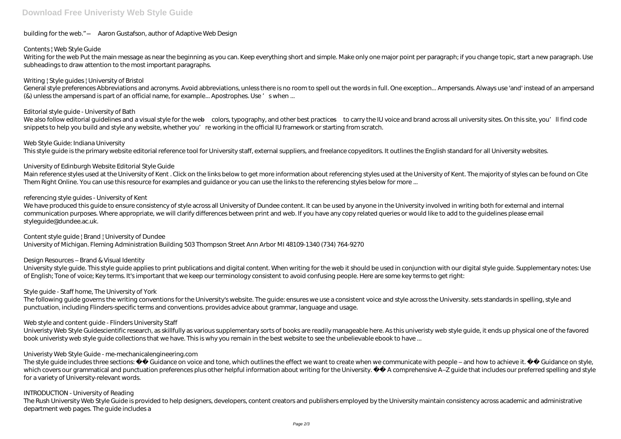# building for the web." —Aaron Gustafson, author of Adaptive Web Design

# *Contents | Web Style Guide*

Writing for the web Put the main message as near the beginning as you can. Keep everything short and simple. Make only one major point per paragraph; if you change topic, start a new paragraph. Use subheadings to draw attention to the most important paragraphs.

General style preferences Abbreviations and acronyms. Avoid abbreviations, unless there is no room to spell out the words in full. One exception... Ampersands. Always use 'and' instead of an ampersand (&) unless the ampersand is part of an official name, for example... Apostrophes. Use 's when ...

# *Writing | Style guides | University of Bristol*

#### *Editorial style guide - University of Bath*

We also follow editorial quidelines and a visual style for the web—colors, typography, and other best practices—to carry the IU voice and brand across all university sites. On this site, you'll find code snippets to help you build and style any website, whether you're working in the official IU framework or starting from scratch.

We have produced this guide to ensure consistency of style across all University of Dundee content. It can be used by anyone in the University involved in writing both for external and internal communication purposes. Where appropriate, we will clarify differences between print and web. If you have any copy related queries or would like to add to the guidelines please email styleguide@dundee.ac.uk.

#### *Web Style Guide: Indiana University*

This style guide is the primary website editorial reference tool for University staff, external suppliers, and freelance copyeditors. It outlines the English standard for all University websites.

#### *University of Edinburgh Website Editorial Style Guide*

The following quide governs the writing conventions for the University's website. The quide: ensures we use a consistent voice and style across the University. sets standards in spelling, style and punctuation, including Flinders-specific terms and conventions. provides advice about grammar, language and usage.

Main reference styles used at the University of Kent . Click on the links below to get more information about referencing styles used at the University of Kent. The majority of styles can be found on Cite Them Right Online. You can use this resource for examples and guidance or you can use the links to the referencing styles below for more ...

#### *referencing style guides - University of Kent*

The style quide includes three sections: Guidance on voice and tone, which outlines the effect we want to create when we communicate with people – and how to achieve it. Guidance on style, which covers our grammatical and punctuation preferences plus other helpful information about writing for the University. A comprehensive A-Z guide that includes our preferred spelling and style for a variety of University-relevant words.

The Rush University Web Style Guide is provided to help designers, developers, content creators and publishers employed by the University maintain consistency across academic and administrative department web pages. The guide includes a

# *Content style guide | Brand | University of Dundee*

University of Michigan. Fleming Administration Building 503 Thompson Street Ann Arbor MI 48109-1340 (734) 764-9270

# *Design Resources – Brand & Visual Identity*

University style guide. This style guide applies to print publications and digital content. When writing for the web it should be used in conjunction with our digital style guide. Supplementary notes: Use of English; Tone of voice; Key terms. It's important that we keep our terminology consistent to avoid confusing people. Here are some key terms to get right:

# *Style guide - Staff home, The University of York*

# *Web style and content guide - Flinders University Staff*

Univeristy Web Style Guidescientific research, as skillfully as various supplementary sorts of books are readily manageable here. As this univeristy web style guide, it ends up physical one of the favored book univeristy web style guide collections that we have. This is why you remain in the best website to see the unbelievable ebook to have ...

# *Univeristy Web Style Guide - me-mechanicalengineering.com*

#### *INTRODUCTION - University of Reading*